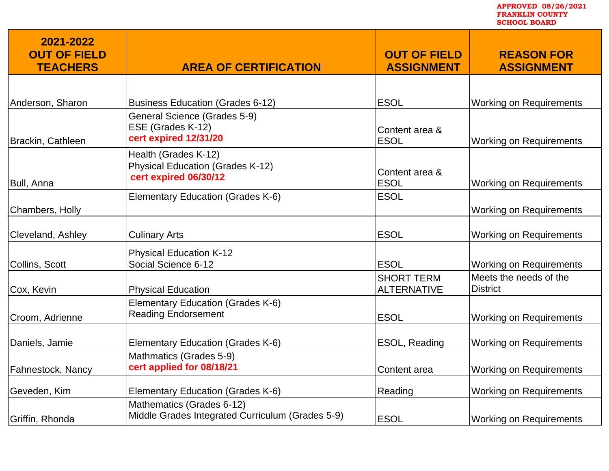**2021-2022 OUT OF FIELD TEACHERS AREA OF CERTIFICATION OUT OF FIELD ASSIGNMENT REASON FOR ASSIGNMENT** Anderson, Sharon **Business Education (Grades 6-12) ESOL** Working on Requirements Brackin, Cathleen General Science (Grades 5-9) ESE (Grades K-12) **cert expired 12/31/20** Content area & ESOL Working on Requirements Bull, Anna Health (Grades K-12) Physical Education (Grades K-12) **cert expired 06/30/12 Content area &**<br> **cert expired 06/30/12 Content area & Working on Requirements** Chambers, Holly Elementary Education (Grades K-6) FIGUL Working on Requirements Cleveland, Ashley Culinary Arts **ESOL** Working on Requirements Collins, Scott Physical Education K-12 Social Science 6-12 **ESOL** Working on Requirements Cox, Kevin **Physical Education** SHORT TERM ALTERNATIVE Meets the needs of the **District** Croom, Adrienne Elementary Education (Grades K-6) Reading Endorsement **ESOL** Working on Requirements Daniels, Jamie **Elementary Education (Grades K-6)** ESOL, Reading Working on Requirements Fahnestock, Nancy Mathmatics (Grades 5-9) **cert applied for 08/18/21** Content area Working on Requirements Geveden, Kim **Elementary Education (Grades K-6)** Reading Reading Working on Requirements Griffin, Rhonda Mathematics (Grades 6-12) Middle Grades Integrated Curriculum (Grades 5-9) ESOL Working on Requirements **FRANKLIN COUNTY SCHOOL BOARD** 

**APPROVED 08/26/2021**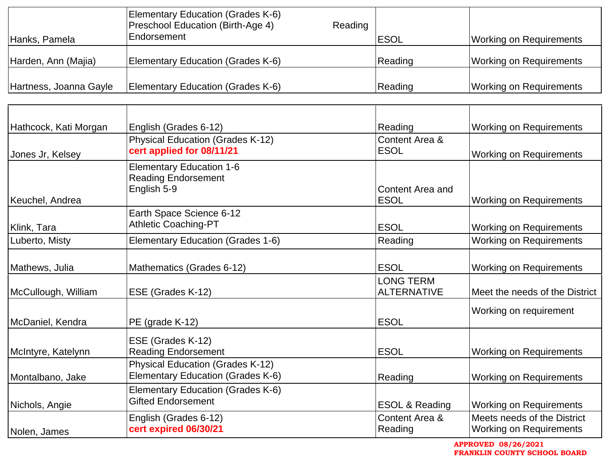| Hanks, Pamela          | Elementary Education (Grades K-6)<br><b>Preschool Education (Birth-Age 4)</b><br>Endorsement | Reading | <b>ESOL</b> | <b>Working on Requirements</b> |
|------------------------|----------------------------------------------------------------------------------------------|---------|-------------|--------------------------------|
| Harden, Ann (Majia)    | Elementary Education (Grades K-6)                                                            |         | Reading     | <b>Working on Requirements</b> |
| Hartness, Joanna Gayle | Elementary Education (Grades K-6)                                                            |         | Reading     | <b>Working on Requirements</b> |

| Hathcock, Kati Morgan<br>Jones Jr, Kelsey | English (Grades 6-12)<br><b>Physical Education (Grades K-12)</b><br>cert applied for 08/11/21 | Reading<br>Content Area &<br><b>ESOL</b> | <b>Working on Requirements</b><br><b>Working on Requirements</b> |
|-------------------------------------------|-----------------------------------------------------------------------------------------------|------------------------------------------|------------------------------------------------------------------|
| Keuchel, Andrea                           | <b>Elementary Education 1-6</b><br><b>Reading Endorsement</b><br>English 5-9                  | Content Area and<br><b>ESOL</b>          | <b>Working on Requirements</b>                                   |
| Klink, Tara                               | Earth Space Science 6-12<br><b>Athletic Coaching-PT</b>                                       | <b>ESOL</b>                              | Working on Requirements                                          |
| Luberto, Misty                            | Elementary Education (Grades 1-6)                                                             | Reading                                  | <b>Working on Requirements</b>                                   |
| Mathews, Julia                            | Mathematics (Grades 6-12)                                                                     | <b>ESOL</b>                              | <b>Working on Requirements</b>                                   |
| McCullough, William                       | ESE (Grades K-12)                                                                             | <b>LONG TERM</b><br><b>ALTERNATIVE</b>   | Meet the needs of the District                                   |
| McDaniel, Kendra                          | PE (grade K-12)                                                                               | <b>ESOL</b>                              | Working on requirement                                           |
| McIntyre, Katelynn                        | ESE (Grades K-12)<br><b>Reading Endorsement</b>                                               | <b>ESOL</b>                              | <b>Working on Requirements</b>                                   |
| Montalbano, Jake                          | <b>Physical Education (Grades K-12)</b><br>Elementary Education (Grades K-6)                  | Reading                                  | <b>Working on Requirements</b>                                   |
| Nichols, Angie                            | Elementary Education (Grades K-6)<br><b>Gifted Endorsement</b>                                | <b>ESOL &amp; Reading</b>                | <b>Working on Requirements</b>                                   |
| Nolen, James                              | English (Grades 6-12)<br>cert expired 06/30/21                                                | Content Area &<br>Reading                | Meets needs of the District<br><b>Working on Requirements</b>    |